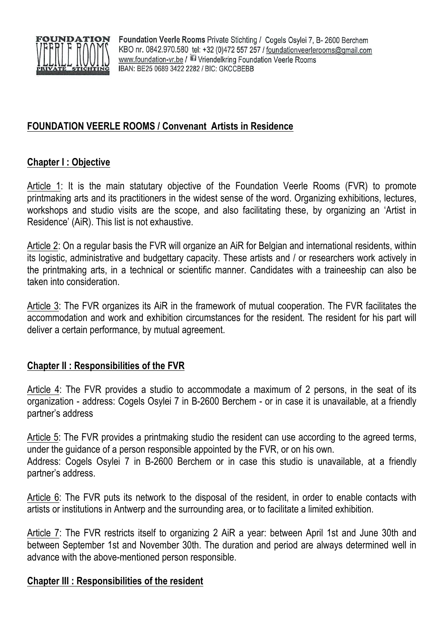

Foundation Veerle Rooms Private Stichting / Cogels Osylei 7, B-2600 Berchem KBO nr. 0842.970.580 tel: +32 (0)472 557 257 / foundationveerlerooms@gmail.com www.foundation-vr.be / 13 Vriendelkring Foundation Veerle Rooms IBAN: BE25 0689 3422 2282 / BIC: GKCCBEBB

# **FOUNDATION VEERLE ROOMS / Convenant Artists in Residence**

### **Chapter I : Objective**

Article 1: It is the main statutary objective of the Foundation Veerle Rooms (FVR) to promote printmaking arts and its practitioners in the widest sense of the word. Organizing exhibitions, lectures, workshops and studio visits are the scope, and also facilitating these, by organizing an 'Artist in Residence' (AiR). This list is not exhaustive.

Article 2: On a regular basis the FVR will organize an AiR for Belgian and international residents, within its logistic, administrative and budgettary capacity. These artists and / or researchers work actively in the printmaking arts, in a technical or scientific manner. Candidates with a traineeship can also be taken into consideration.

Article 3: The FVR organizes its AiR in the framework of mutual cooperation. The FVR facilitates the accommodation and work and exhibition circumstances for the resident. The resident for his part will deliver a certain performance, by mutual agreement.

#### **Chapter II : Responsibilities of the FVR**

Article 4: The FVR provides a studio to accommodate a maximum of 2 persons, in the seat of its organization - address: Cogels Osylei 7 in B-2600 Berchem - or in case it is unavailable, at a friendly partner's address

Article 5: The FVR provides a printmaking studio the resident can use according to the agreed terms, under the guidance of a person responsible appointed by the FVR, or on his own. Address: Cogels Osylei 7 in B-2600 Berchem or in case this studio is unavailable, at a friendly partner's address.

Article 6: The FVR puts its network to the disposal of the resident, in order to enable contacts with artists or institutions in Antwerp and the surrounding area, or to facilitate a limited exhibition.

Article 7: The FVR restricts itself to organizing 2 AiR a year: between April 1st and June 30th and between September 1st and November 30th. The duration and period are always determined well in advance with the above-mentioned person responsible.

#### **Chapter III : Responsibilities of the resident**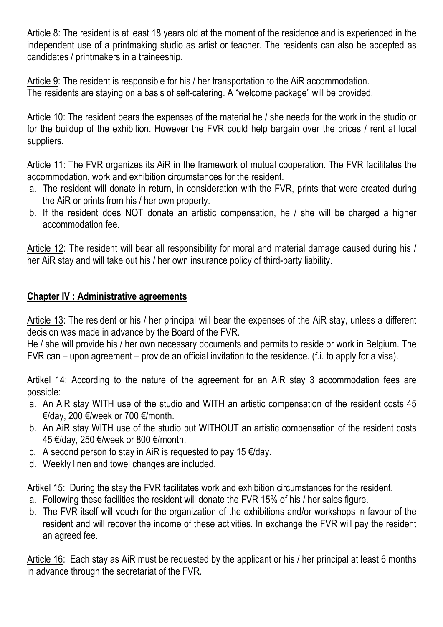Article 8: The resident is at least 18 years old at the moment of the residence and is experienced in the independent use of a printmaking studio as artist or teacher. The residents can also be accepted as candidates / printmakers in a traineeship.

Article 9: The resident is responsible for his / her transportation to the AiR accommodation. The residents are staying on a basis of self-catering. A "welcome package" will be provided.

Article 10: The resident bears the expenses of the material he / she needs for the work in the studio or for the buildup of the exhibition. However the FVR could help bargain over the prices / rent at local suppliers.

Article 11: The FVR organizes its AiR in the framework of mutual cooperation. The FVR facilitates the accommodation, work and exhibition circumstances for the resident.

- a. The resident will donate in return, in consideration with the FVR, prints that were created during the AiR or prints from his / her own property.
- b. If the resident does NOT donate an artistic compensation, he / she will be charged a higher accommodation fee.

Article 12: The resident will bear all responsibility for moral and material damage caused during his / her AiR stay and will take out his / her own insurance policy of third-party liability.

## **Chapter IV : Administrative agreements**

Article 13: The resident or his / her principal will bear the expenses of the AiR stay, unless a different decision was made in advance by the Board of the FVR.

He / she will provide his / her own necessary documents and permits to reside or work in Belgium. The FVR can – upon agreement – provide an official invitation to the residence. (f.i. to apply for a visa).

Artikel 14: According to the nature of the agreement for an AiR stay 3 accommodation fees are possible:

- a. An AiR stay WITH use of the studio and WITH an artistic compensation of the resident costs 45 €/day, 200 €/week or 700 €/month.
- b. An AiR stay WITH use of the studio but WITHOUT an artistic compensation of the resident costs 45 €/day, 250 €/week or 800 €/month.
- c. A second person to stay in AiR is requested to pay 15  $\epsilon$ /day.
- d. Weekly linen and towel changes are included.

Artikel 15: During the stay the FVR facilitates work and exhibition circumstances for the resident.

- a. Following these facilities the resident will donate the FVR 15% of his / her sales figure.
- b. The FVR itself will vouch for the organization of the exhibitions and/or workshops in favour of the resident and will recover the income of these activities. In exchange the FVR will pay the resident an agreed fee.

Article 16: Each stay as AiR must be requested by the applicant or his / her principal at least 6 months in advance through the secretariat of the FVR.